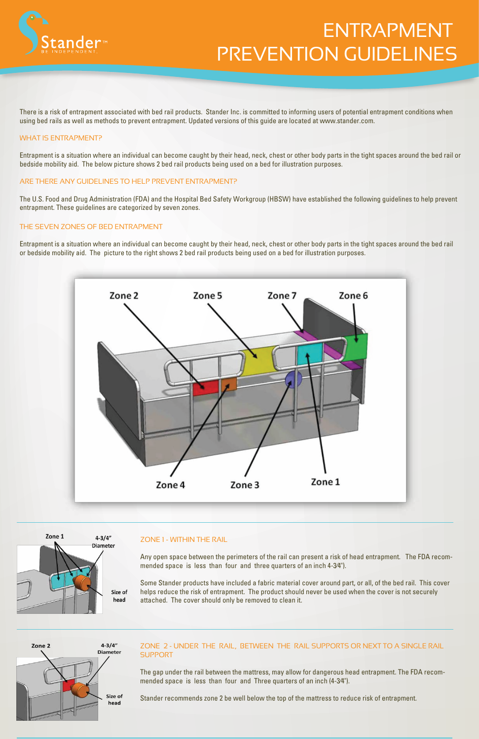

# ENTRAPMENT PREVENTION GUIDELINES

There is a risk of entrapment associated with bed rail products. Stander Inc. is committed to informing users of potential entrapment conditions when using bed rails as well as methods to prevent entrapment. Updated versions of this guide are located at www.stander.com.

#### WHAT IS ENTRAPMENT?

Entrapment is a situation where an individual can become caught by their head, neck, chest or other body parts in the tight spaces around the bed rail or bedside mobility aid. The below picture shows 2 bed rail products being used on a bed for illustration purposes.



## ARE THERE ANY GUIDELINES TO HELP PREVENT ENTRAPMENT?

The U.S. Food and Drug Administration (FDA) and the Hospital Bed Safety Workgroup (HBSW) have established the following guidelines to help prevent entrapment. These guidelines are categorized by seven zones.

## ZONE 2 - UNDER THE RAIL, BETWEEN THE RAIL SUPPORTS OR NEXT TO A SINGLE RAIL **SUPPORT**

#### THE SEVEN ZONES OF BED ENTRAPMENT

Entrapment is a situation where an individual can become caught by their head, neck, chest or other body parts in the tight spaces around the bed rail or bedside mobility aid. The picture to the right shows 2 bed rail products being used on a bed for illustration purposes.



Any open space between the perimeters of the rail can present a risk of head entrapment. The FDA recommended space is less than four and three quarters of an inch 4-3⁄4").

Some Stander products have included a fabric material cover around part, or all, of the bed rail. This cover helps reduce the risk of entrapment. The product should never be used when the cover is not securely attached. The cover should only be removed to clean it.



The gap under the rail between the mattress, may allow for dangerous head entrapment. The FDA recommended space is less than four and Three quarters of an inch (4-3⁄4").

Stander recommends zone 2 be well below the top of the mattress to reduce risk of entrapment.